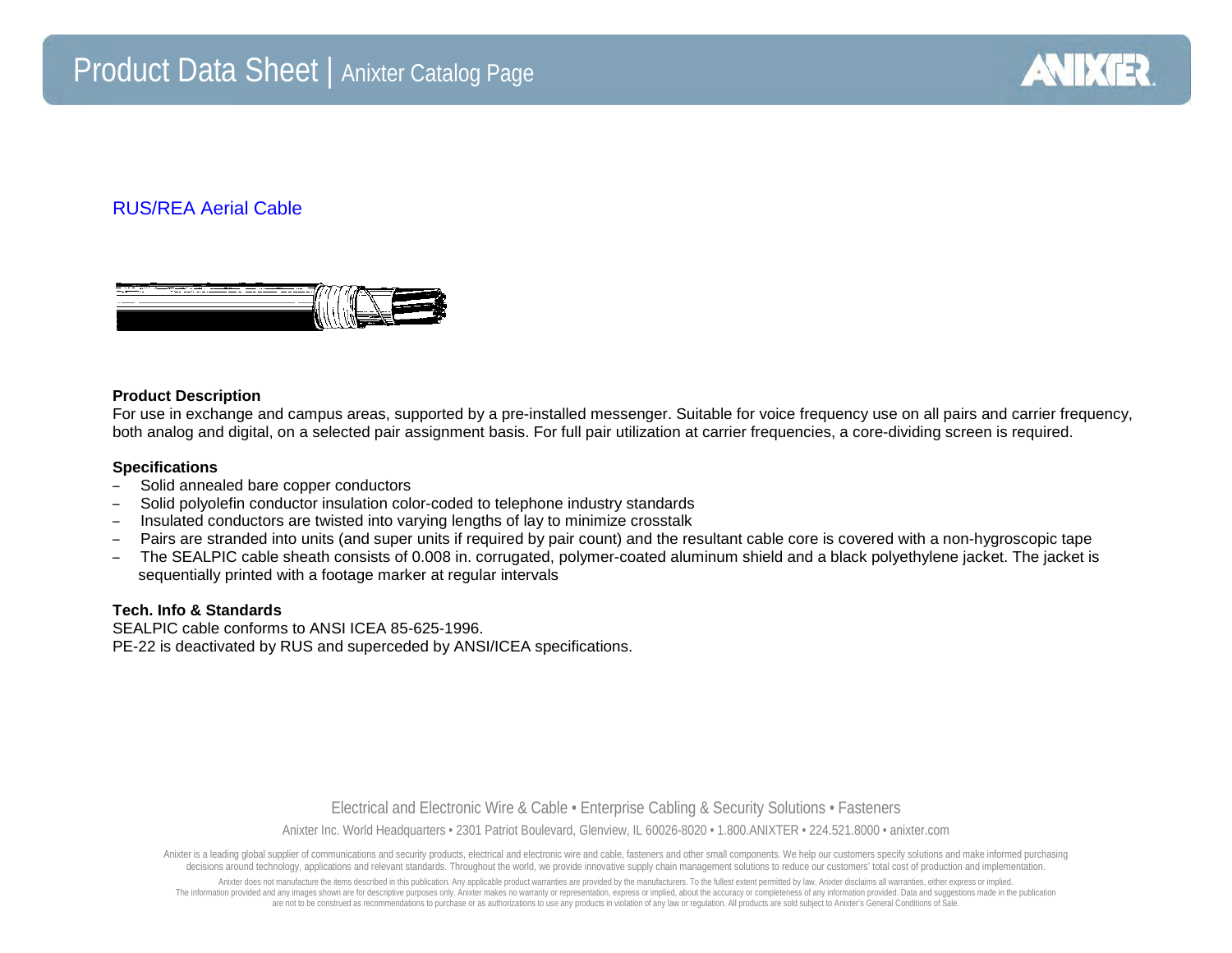

## RUS/REA Aerial Cable



## **Product Description**

For use in exchange and campus areas, supported by a pre-installed messenger. Suitable for voice frequency use on all pairs and carrier frequency, both analog and digital, on a selected pair assignment basis. For full pair utilization at carrier frequencies, a core-dividing screen is required.

## **Specifications**

- Solid annealed bare copper conductors
- Solid polyolefin conductor insulation color-coded to telephone industry standards
- Insulated conductors are twisted into varying lengths of lay to minimize crosstalk
- Pairs are stranded into units (and super units if required by pair count) and the resultant cable core is covered with a non-hygroscopic tape
- The SEALPIC cable sheath consists of 0.008 in. corrugated, polymer-coated aluminum shield and a black polyethylene jacket. The jacket is sequentially printed with a footage marker at regular intervals

## **Tech. Info & Standards**

SEALPIC cable conforms to ANSI ICEA 85-625-1996. PE-22 is deactivated by RUS and superceded by ANSI/ICEA specifications.

> Electrical and Electronic Wire & Cable • Enterprise Cabling & Security Solutions • Fasteners Anixter Inc. World Headquarters • 2301 Patriot Boulevard, Glenview, IL 60026-8020 • 1.800.ANIXTER • 224.521.8000 • anixter.com

Anixter is a leading global supplier of communications and security products, electrical and electronic wire and cable, fasteners and other small components. We help our customers specify solutions and make informed purcha decisions around technology, applications and relevant standards. Throughout the world, we provide innovative supply chain management solutions to reduce our customers' total cost of production and implementation.

Anixter does not manufacture the items described in this publication. Any applicable product warranties are provided by the manufacturers. To the fullest extent permitted by law, Anixter disclaims all warranties, either ex The information provided and any images shown are for descriptive purposes only. Anixter makes no warranty or representation, express or implied, about the accuracy or completeness of any information provided. Data and sug are not to be construed as recommendations to purchase or as authorizations to use any products in violation of any law or regulation. All products are sold subject to Anixter's General Conditions of Sale.